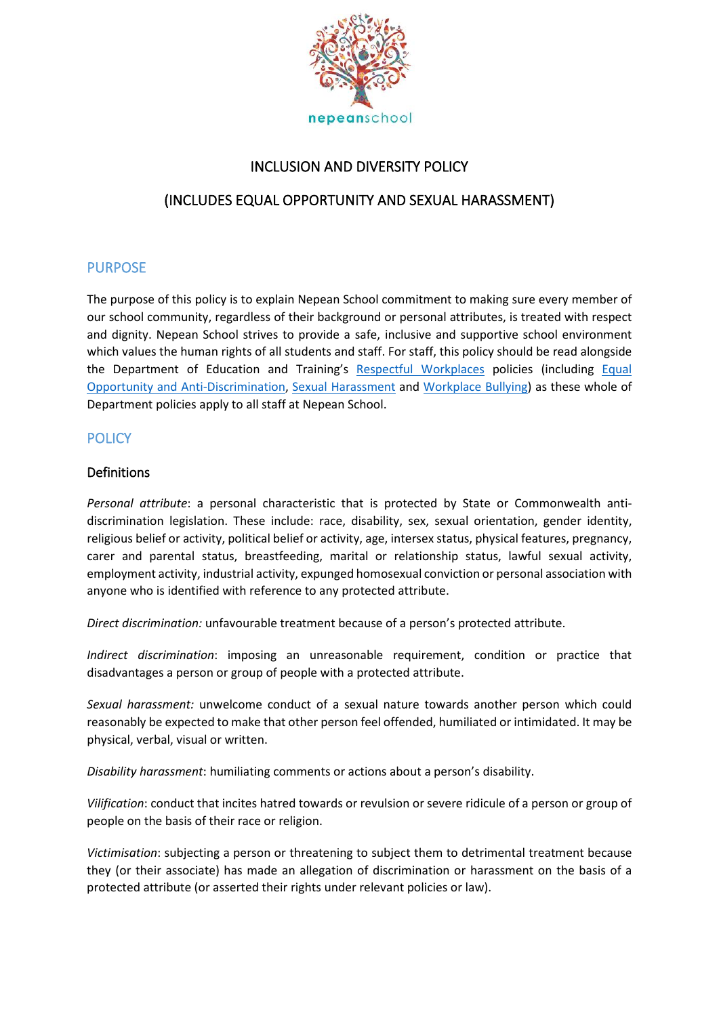

# INCLUSION AND DIVERSITY POLICY

# (INCLUDES EQUAL OPPORTUNITY AND SEXUAL HARASSMENT)

### PURPOSE

The purpose of this policy is to explain Nepean School commitment to making sure every member of our school community, regardless of their background or personal attributes, is treated with respect and dignity. Nepean School strives to provide a safe, inclusive and supportive school environment which values the human rights of all students and staff. For staff, this policy should be read alongside the Department of Education and Training's [Respectful Workplaces](https://www.education.vic.gov.au/hrweb/divequity/Pages/respect.aspx) policies (including Equal [Opportunity and Anti-Discrimination,](https://www.education.vic.gov.au/hrweb/divequity/Pages/default_eeo.aspx) [Sexual Harassment](https://www.education.vic.gov.au/hrweb/divequity/Pages/SexualHarassment.aspx) and [Workplace Bullying\)](https://www.education.vic.gov.au/hrweb/safetyhw/Pages/workplacebullying.aspx) as these whole of Department policies apply to all staff at Nepean School.

### **POLICY**

#### Definitions

*Personal attribute*: a personal characteristic that is protected by State or Commonwealth antidiscrimination legislation. These include: race, disability, sex, sexual orientation, gender identity, religious belief or activity, political belief or activity, age, intersex status, physical features, pregnancy, carer and parental status, breastfeeding, marital or relationship status, lawful sexual activity, employment activity, industrial activity, expunged homosexual conviction or personal association with anyone who is identified with reference to any protected attribute.

*Direct discrimination:* unfavourable treatment because of a person's protected attribute.

*Indirect discrimination*: imposing an unreasonable requirement, condition or practice that disadvantages a person or group of people with a protected attribute.

*Sexual harassment:* unwelcome conduct of a sexual nature towards another person which could reasonably be expected to make that other person feel offended, humiliated or intimidated. It may be physical, verbal, visual or written.

*Disability harassment*: humiliating comments or actions about a person's disability.

*Vilification*: conduct that incites hatred towards or revulsion or severe ridicule of a person or group of people on the basis of their race or religion.

*Victimisation*: subjecting a person or threatening to subject them to detrimental treatment because they (or their associate) has made an allegation of discrimination or harassment on the basis of a protected attribute (or asserted their rights under relevant policies or law).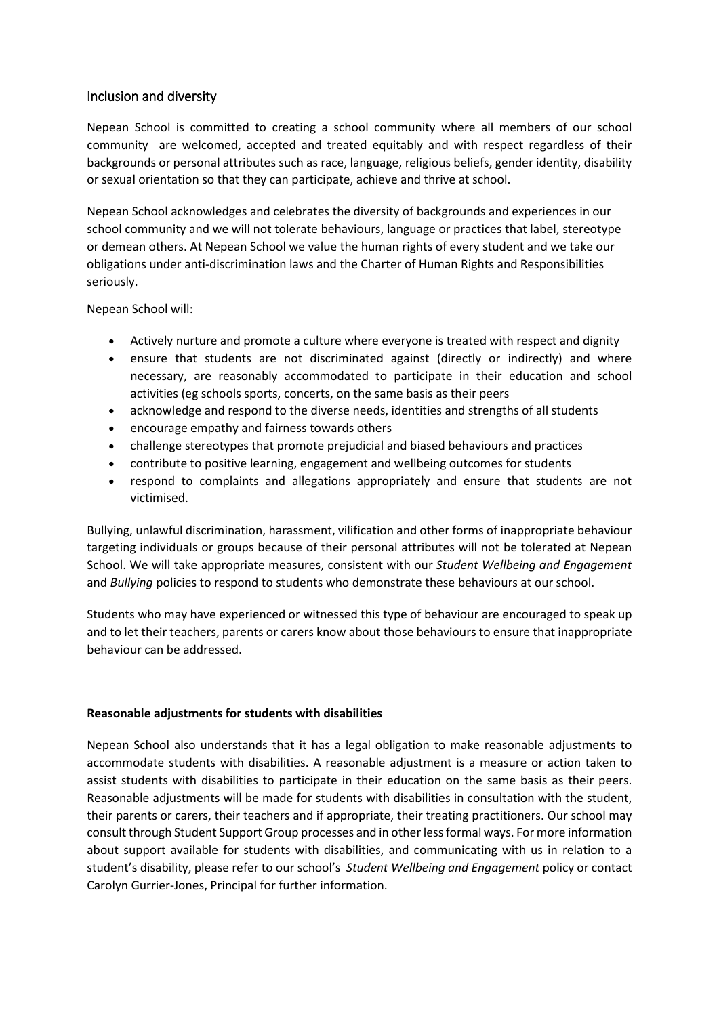#### Inclusion and diversity

Nepean School is committed to creating a school community where all members of our school community are welcomed, accepted and treated equitably and with respect regardless of their backgrounds or personal attributes such as race, language, religious beliefs, gender identity, disability or sexual orientation so that they can participate, achieve and thrive at school.

Nepean School acknowledges and celebrates the diversity of backgrounds and experiences in our school community and we will not tolerate behaviours, language or practices that label, stereotype or demean others. At Nepean School we value the human rights of every student and we take our obligations under anti-discrimination laws and the Charter of Human Rights and Responsibilities seriously.

Nepean School will:

- Actively nurture and promote a culture where everyone is treated with respect and dignity
- ensure that students are not discriminated against (directly or indirectly) and where necessary, are reasonably accommodated to participate in their education and school activities (eg schools sports, concerts, on the same basis as their peers
- acknowledge and respond to the diverse needs, identities and strengths of all students
- encourage empathy and fairness towards others
- challenge stereotypes that promote prejudicial and biased behaviours and practices
- contribute to positive learning, engagement and wellbeing outcomes for students
- respond to complaints and allegations appropriately and ensure that students are not victimised.

Bullying, unlawful discrimination, harassment, vilification and other forms of inappropriate behaviour targeting individuals or groups because of their personal attributes will not be tolerated at Nepean School. We will take appropriate measures, consistent with our *Student Wellbeing and Engagement* and *Bullying* policies to respond to students who demonstrate these behaviours at our school.

Students who may have experienced or witnessed this type of behaviour are encouraged to speak up and to let their teachers, parents or carers know about those behaviours to ensure that inappropriate behaviour can be addressed.

#### **Reasonable adjustments for students with disabilities**

Nepean School also understands that it has a legal obligation to make reasonable adjustments to accommodate students with disabilities. A reasonable adjustment is a measure or action taken to assist students with disabilities to participate in their education on the same basis as their peers. Reasonable adjustments will be made for students with disabilities in consultation with the student, their parents or carers, their teachers and if appropriate, their treating practitioners. Our school may consult through Student Support Group processes and in other less formal ways. For more information about support available for students with disabilities, and communicating with us in relation to a student's disability, please refer to our school's *Student Wellbeing and Engagement* policy or contact Carolyn Gurrier-Jones, Principal for further information.